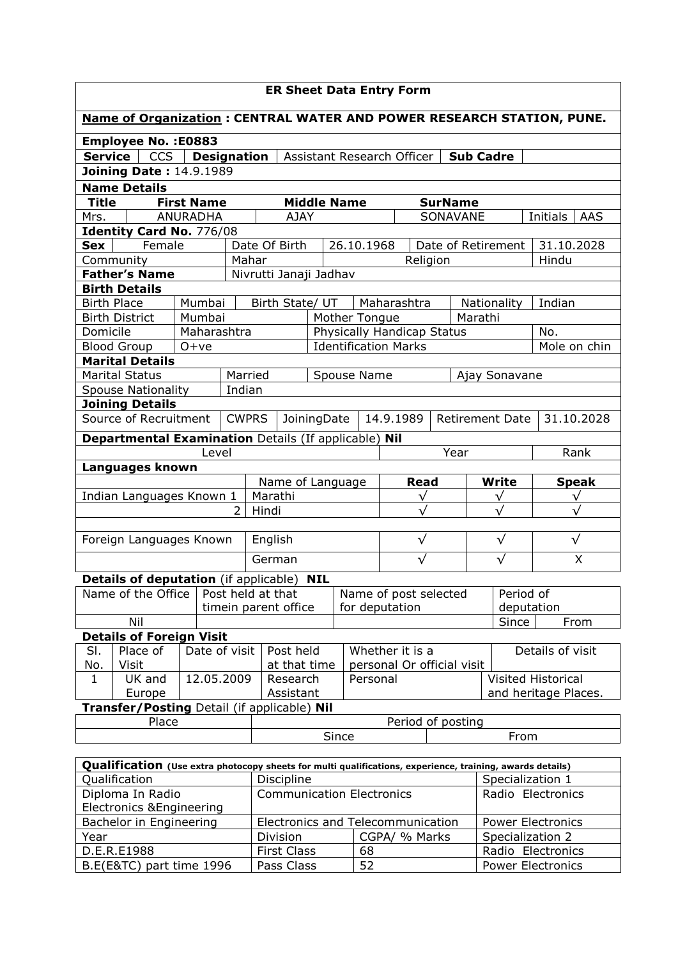| <b>ER Sheet Data Entry Form</b>                                                       |                                                                                                    |        |               |                      |                             |                                                                 |              |  |                |                             |                                                   |               |           |                  |                                                                                                           |              |
|---------------------------------------------------------------------------------------|----------------------------------------------------------------------------------------------------|--------|---------------|----------------------|-----------------------------|-----------------------------------------------------------------|--------------|--|----------------|-----------------------------|---------------------------------------------------|---------------|-----------|------------------|-----------------------------------------------------------------------------------------------------------|--------------|
| Name of Organization: CENTRAL WATER AND POWER RESEARCH STATION, PUNE.                 |                                                                                                    |        |               |                      |                             |                                                                 |              |  |                |                             |                                                   |               |           |                  |                                                                                                           |              |
| <b>Employee No.: E0883</b>                                                            |                                                                                                    |        |               |                      |                             |                                                                 |              |  |                |                             |                                                   |               |           |                  |                                                                                                           |              |
| <b>Service</b><br>CCS<br><b>Designation</b><br>Assistant Research Officer   Sub Cadre |                                                                                                    |        |               |                      |                             |                                                                 |              |  |                |                             |                                                   |               |           |                  |                                                                                                           |              |
| <b>Joining Date: 14.9.1989</b>                                                        |                                                                                                    |        |               |                      |                             |                                                                 |              |  |                |                             |                                                   |               |           |                  |                                                                                                           |              |
|                                                                                       | <b>Name Details</b>                                                                                |        |               |                      |                             |                                                                 |              |  |                |                             |                                                   |               |           |                  |                                                                                                           |              |
|                                                                                       | <b>Title</b><br><b>First Name</b><br><b>Middle Name</b><br><b>SurName</b>                          |        |               |                      |                             |                                                                 |              |  |                |                             |                                                   |               |           |                  |                                                                                                           |              |
| <b>ANURADHA</b><br>Mrs.                                                               |                                                                                                    |        |               |                      |                             | <b>AJAY</b>                                                     |              |  |                |                             | SONAVANE                                          |               |           |                  |                                                                                                           | AAS          |
| Initials<br>Identity Card No. 776/08                                                  |                                                                                                    |        |               |                      |                             |                                                                 |              |  |                |                             |                                                   |               |           |                  |                                                                                                           |              |
| <b>Sex</b>                                                                            |                                                                                                    | Female |               |                      | 26.10.1968<br>Date Of Birth |                                                                 |              |  |                |                             | Date of Retirement                                |               |           |                  |                                                                                                           | 31.10.2028   |
|                                                                                       | Community                                                                                          |        |               |                      | Mahar                       |                                                                 |              |  |                | Religion                    |                                                   |               |           |                  | Hindu                                                                                                     |              |
|                                                                                       | <b>Father's Name</b>                                                                               |        |               |                      |                             | Nivrutti Janaji Jadhav                                          |              |  |                |                             |                                                   |               |           |                  |                                                                                                           |              |
|                                                                                       | <b>Birth Details</b>                                                                               |        |               |                      |                             |                                                                 |              |  |                |                             |                                                   |               |           |                  |                                                                                                           |              |
|                                                                                       | <b>Birth Place</b>                                                                                 |        | Mumbai        |                      |                             | Birth State/ UT                                                 |              |  | Maharashtra    |                             |                                                   | Nationality   |           |                  | Indian                                                                                                    |              |
|                                                                                       | <b>Birth District</b>                                                                              |        | Mumbai        |                      |                             |                                                                 |              |  | Mother Tongue  |                             |                                                   |               | Marathi   |                  |                                                                                                           |              |
| Domicile                                                                              |                                                                                                    |        | Maharashtra   |                      |                             |                                                                 |              |  |                | Physically Handicap Status  |                                                   |               |           |                  | No.                                                                                                       |              |
|                                                                                       | <b>Blood Group</b>                                                                                 |        | $O+ve$        |                      |                             |                                                                 |              |  |                | <b>Identification Marks</b> |                                                   |               |           |                  |                                                                                                           | Mole on chin |
|                                                                                       | <b>Marital Details</b>                                                                             |        |               |                      |                             |                                                                 |              |  |                |                             |                                                   |               |           |                  |                                                                                                           |              |
|                                                                                       | <b>Marital Status</b>                                                                              |        |               |                      | Married                     |                                                                 |              |  | Spouse Name    |                             |                                                   | Ajay Sonavane |           |                  |                                                                                                           |              |
|                                                                                       | <b>Spouse Nationality</b>                                                                          |        |               |                      | Indian                      |                                                                 |              |  |                |                             |                                                   |               |           |                  |                                                                                                           |              |
|                                                                                       | <b>Joining Details</b>                                                                             |        |               |                      |                             |                                                                 |              |  |                |                             |                                                   |               |           |                  |                                                                                                           |              |
|                                                                                       | Source of Recruitment<br><b>CWPRS</b><br>JoiningDate<br>14.9.1989<br>Retirement Date<br>31.10.2028 |        |               |                      |                             |                                                                 |              |  |                |                             |                                                   |               |           |                  |                                                                                                           |              |
|                                                                                       |                                                                                                    |        |               |                      |                             | Departmental Examination Details (If applicable) Nil            |              |  |                |                             |                                                   |               |           |                  |                                                                                                           |              |
|                                                                                       | Year<br>Rank<br>Level                                                                              |        |               |                      |                             |                                                                 |              |  |                |                             |                                                   |               |           |                  |                                                                                                           |              |
|                                                                                       | Languages known                                                                                    |        |               |                      |                             |                                                                 |              |  |                |                             |                                                   |               |           |                  |                                                                                                           |              |
|                                                                                       |                                                                                                    |        |               |                      | Name of Language            |                                                                 |              |  | <b>Read</b>    |                             |                                                   | <b>Write</b>  |           | <b>Speak</b>     |                                                                                                           |              |
|                                                                                       | Indian Languages Known 1                                                                           |        |               |                      | Marathi                     |                                                                 |              |  |                | $\checkmark$                |                                                   |               | ν         |                  | $\sqrt{}$                                                                                                 |              |
|                                                                                       |                                                                                                    |        |               |                      | 2<br>Hindi                  |                                                                 |              |  |                |                             |                                                   |               |           |                  |                                                                                                           |              |
| Foreign Languages Known                                                               |                                                                                                    |        |               |                      |                             | English                                                         |              |  |                | $\checkmark$                |                                                   |               | $\sqrt{}$ |                  | $\sqrt{}$                                                                                                 |              |
|                                                                                       |                                                                                                    |        |               |                      |                             |                                                                 |              |  |                |                             |                                                   |               |           |                  |                                                                                                           |              |
|                                                                                       |                                                                                                    |        |               |                      | German                      |                                                                 |              |  | $\sqrt{}$      |                             |                                                   | $\sqrt{}$     |           | X                |                                                                                                           |              |
|                                                                                       | <b>Details of deputation</b> (if applicable)                                                       |        |               |                      |                             |                                                                 | <b>NIL</b>   |  |                |                             |                                                   |               |           |                  |                                                                                                           |              |
|                                                                                       |                                                                                                    |        |               |                      |                             | Name of the Office   Post held at that<br>Name of post selected |              |  |                |                             |                                                   |               |           | Period of        |                                                                                                           |              |
|                                                                                       |                                                                                                    |        |               | timein parent office |                             |                                                                 |              |  | for deputation |                             |                                                   |               |           | deputation       |                                                                                                           |              |
| Nil                                                                                   |                                                                                                    |        |               |                      |                             |                                                                 |              |  |                |                             |                                                   | Since         |           | From             |                                                                                                           |              |
|                                                                                       | <b>Details of Foreign Visit</b>                                                                    |        |               |                      |                             |                                                                 |              |  |                |                             |                                                   |               |           |                  |                                                                                                           |              |
| SI.                                                                                   | Place of                                                                                           |        | Date of visit |                      |                             | Post held                                                       |              |  |                | Whether it is a             |                                                   |               |           | Details of visit |                                                                                                           |              |
| No.                                                                                   | Visit                                                                                              |        |               |                      |                             |                                                                 | at that time |  |                | personal Or official visit  |                                                   |               |           |                  |                                                                                                           |              |
| 12.05.2009<br>UK and<br>$\mathbf{1}$                                                  |                                                                                                    |        |               | Research<br>Personal |                             |                                                                 |              |  |                |                             | <b>Visited Historical</b><br>and heritage Places. |               |           |                  |                                                                                                           |              |
| Europe                                                                                |                                                                                                    |        |               |                      |                             | Assistant                                                       |              |  |                |                             |                                                   |               |           |                  |                                                                                                           |              |
| Transfer/Posting Detail (if applicable) Nil<br>Period of posting                      |                                                                                                    |        |               |                      |                             |                                                                 |              |  |                |                             |                                                   |               |           |                  |                                                                                                           |              |
| Place                                                                                 |                                                                                                    |        |               |                      | Since                       |                                                                 |              |  |                | From                        |                                                   |               |           |                  |                                                                                                           |              |
|                                                                                       |                                                                                                    |        |               |                      |                             |                                                                 |              |  |                |                             |                                                   |               |           |                  |                                                                                                           |              |
|                                                                                       |                                                                                                    |        |               |                      |                             |                                                                 |              |  |                |                             |                                                   |               |           |                  |                                                                                                           |              |
|                                                                                       |                                                                                                    |        |               |                      |                             |                                                                 |              |  |                |                             |                                                   |               |           |                  | Qualification (Use extra photocopy sheets for multi qualifications, experience, training, awards details) |              |
|                                                                                       | Qualification<br>Discipline<br>Specialization 1                                                    |        |               |                      |                             |                                                                 |              |  |                |                             |                                                   |               |           |                  |                                                                                                           |              |

| www.communication.com/www.communication.com/www.communication.com/www.communication.com/www.com/www.com/ |                                  |                                   |                          |  |  |  |  |  |  |  |
|----------------------------------------------------------------------------------------------------------|----------------------------------|-----------------------------------|--------------------------|--|--|--|--|--|--|--|
| Qualification                                                                                            | <b>Discipline</b>                | Specialization 1                  |                          |  |  |  |  |  |  |  |
| Diploma In Radio                                                                                         | <b>Communication Electronics</b> | Radio Electronics                 |                          |  |  |  |  |  |  |  |
| <b>Electronics &amp; Engineering</b>                                                                     |                                  |                                   |                          |  |  |  |  |  |  |  |
| Bachelor in Engineering                                                                                  |                                  | Electronics and Telecommunication | <b>Power Electronics</b> |  |  |  |  |  |  |  |
| Year                                                                                                     | Division                         | CGPA/ % Marks                     | Specialization 2         |  |  |  |  |  |  |  |
| D.E.R.E1988                                                                                              | <b>First Class</b>               | 68                                | Radio Electronics        |  |  |  |  |  |  |  |
| B.E(E&TC) part time 1996                                                                                 | Pass Class                       | 52                                | <b>Power Electronics</b> |  |  |  |  |  |  |  |